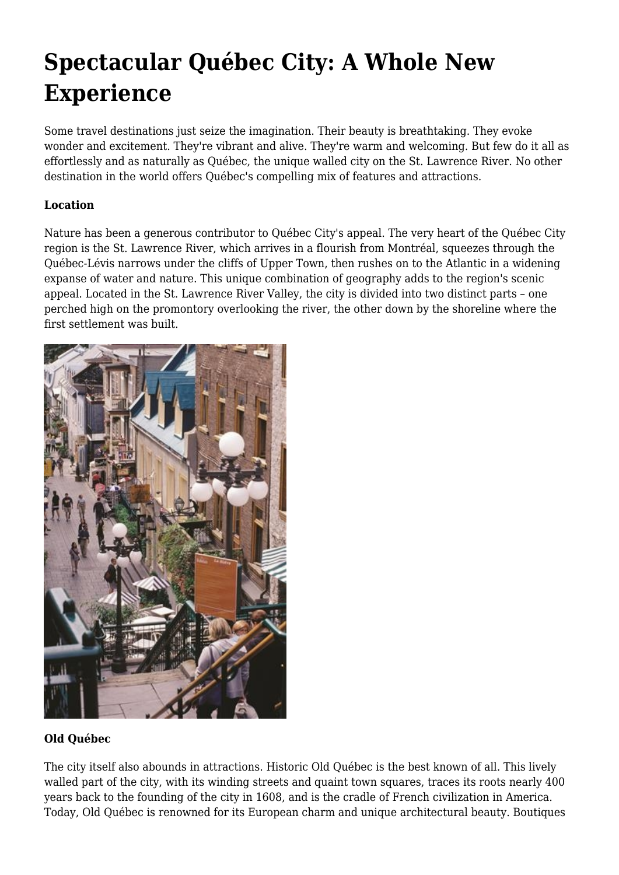# **Spectacular Québec City: A Whole New Experience**

Some travel destinations just seize the imagination. Their beauty is breathtaking. They evoke wonder and excitement. They're vibrant and alive. They're warm and welcoming. But few do it all as effortlessly and as naturally as Québec, the unique walled city on the St. Lawrence River. No other destination in the world offers Québec's compelling mix of features and attractions.

# **Location**

Nature has been a generous contributor to Québec City's appeal. The very heart of the Québec City region is the St. Lawrence River, which arrives in a flourish from Montréal, squeezes through the Québec-Lévis narrows under the cliffs of Upper Town, then rushes on to the Atlantic in a widening expanse of water and nature. This unique combination of geography adds to the region's scenic appeal. Located in the St. Lawrence River Valley, the city is divided into two distinct parts – one perched high on the promontory overlooking the river, the other down by the shoreline where the first settlement was built.



## **Old Québec**

The city itself also abounds in attractions. Historic Old Québec is the best known of all. This lively walled part of the city, with its winding streets and quaint town squares, traces its roots nearly 400 years back to the founding of the city in 1608, and is the cradle of French civilization in America. Today, Old Québec is renowned for its European charm and unique architectural beauty. Boutiques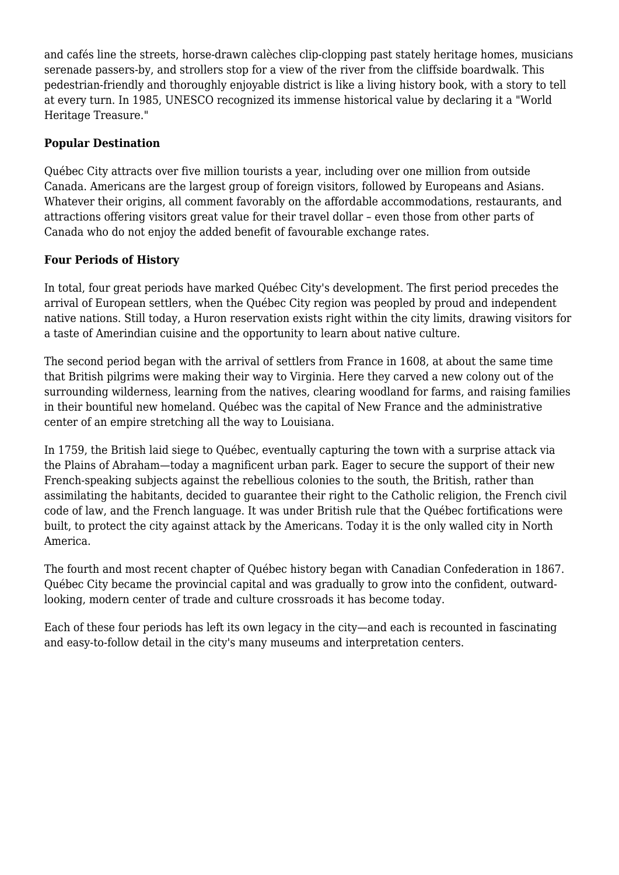and cafés line the streets, horse-drawn calèches clip-clopping past stately heritage homes, musicians serenade passers-by, and strollers stop for a view of the river from the cliffside boardwalk. This pedestrian-friendly and thoroughly enjoyable district is like a living history book, with a story to tell at every turn. In 1985, UNESCO recognized its immense historical value by declaring it a "World Heritage Treasure."

## **Popular Destination**

Québec City attracts over five million tourists a year, including over one million from outside Canada. Americans are the largest group of foreign visitors, followed by Europeans and Asians. Whatever their origins, all comment favorably on the affordable accommodations, restaurants, and attractions offering visitors great value for their travel dollar – even those from other parts of Canada who do not enjoy the added benefit of favourable exchange rates.

## **Four Periods of History**

In total, four great periods have marked Québec City's development. The first period precedes the arrival of European settlers, when the Québec City region was peopled by proud and independent native nations. Still today, a Huron reservation exists right within the city limits, drawing visitors for a taste of Amerindian cuisine and the opportunity to learn about native culture.

The second period began with the arrival of settlers from France in 1608, at about the same time that British pilgrims were making their way to Virginia. Here they carved a new colony out of the surrounding wilderness, learning from the natives, clearing woodland for farms, and raising families in their bountiful new homeland. Québec was the capital of New France and the administrative center of an empire stretching all the way to Louisiana.

In 1759, the British laid siege to Québec, eventually capturing the town with a surprise attack via the Plains of Abraham—today a magnificent urban park. Eager to secure the support of their new French-speaking subjects against the rebellious colonies to the south, the British, rather than assimilating the habitants, decided to guarantee their right to the Catholic religion, the French civil code of law, and the French language. It was under British rule that the Québec fortifications were built, to protect the city against attack by the Americans. Today it is the only walled city in North America.

The fourth and most recent chapter of Québec history began with Canadian Confederation in 1867. Québec City became the provincial capital and was gradually to grow into the confident, outwardlooking, modern center of trade and culture crossroads it has become today.

Each of these four periods has left its own legacy in the city—and each is recounted in fascinating and easy-to-follow detail in the city's many museums and interpretation centers.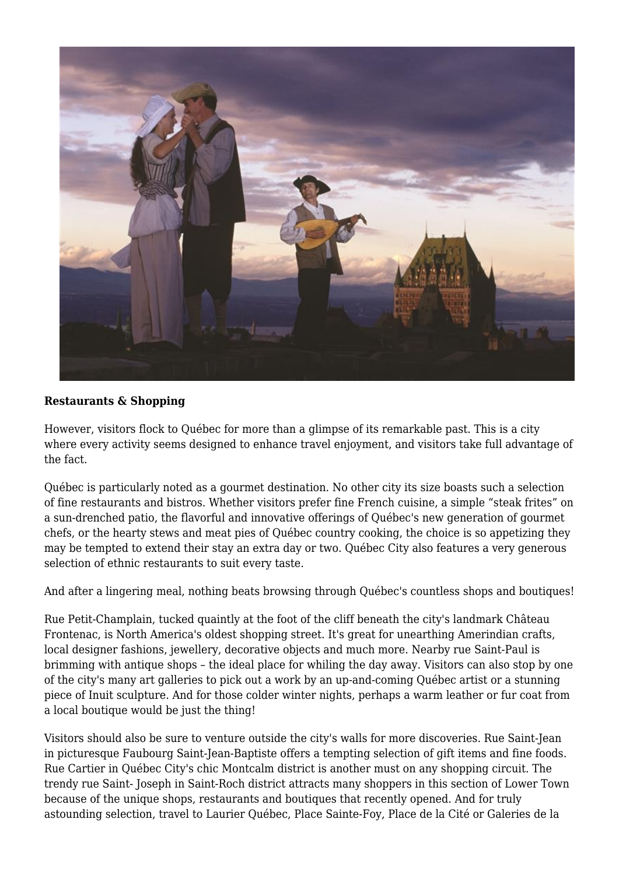

### **Restaurants & Shopping**

However, visitors flock to Québec for more than a glimpse of its remarkable past. This is a city where every activity seems designed to enhance travel enjoyment, and visitors take full advantage of the fact.

Québec is particularly noted as a gourmet destination. No other city its size boasts such a selection of fine restaurants and bistros. Whether visitors prefer fine French cuisine, a simple "steak frites" on a sun-drenched patio, the flavorful and innovative offerings of Québec's new generation of gourmet chefs, or the hearty stews and meat pies of Québec country cooking, the choice is so appetizing they may be tempted to extend their stay an extra day or two. Québec City also features a very generous selection of ethnic restaurants to suit every taste.

And after a lingering meal, nothing beats browsing through Québec's countless shops and boutiques!

Rue Petit-Champlain, tucked quaintly at the foot of the cliff beneath the city's landmark Château Frontenac, is North America's oldest shopping street. It's great for unearthing Amerindian crafts, local designer fashions, jewellery, decorative objects and much more. Nearby rue Saint-Paul is brimming with antique shops – the ideal place for whiling the day away. Visitors can also stop by one of the city's many art galleries to pick out a work by an up-and-coming Québec artist or a stunning piece of Inuit sculpture. And for those colder winter nights, perhaps a warm leather or fur coat from a local boutique would be just the thing!

Visitors should also be sure to venture outside the city's walls for more discoveries. Rue Saint-Jean in picturesque Faubourg Saint-Jean-Baptiste offers a tempting selection of gift items and fine foods. Rue Cartier in Québec City's chic Montcalm district is another must on any shopping circuit. The trendy rue Saint- Joseph in Saint-Roch district attracts many shoppers in this section of Lower Town because of the unique shops, restaurants and boutiques that recently opened. And for truly astounding selection, travel to Laurier Québec, Place Sainte-Foy, Place de la Cité or Galeries de la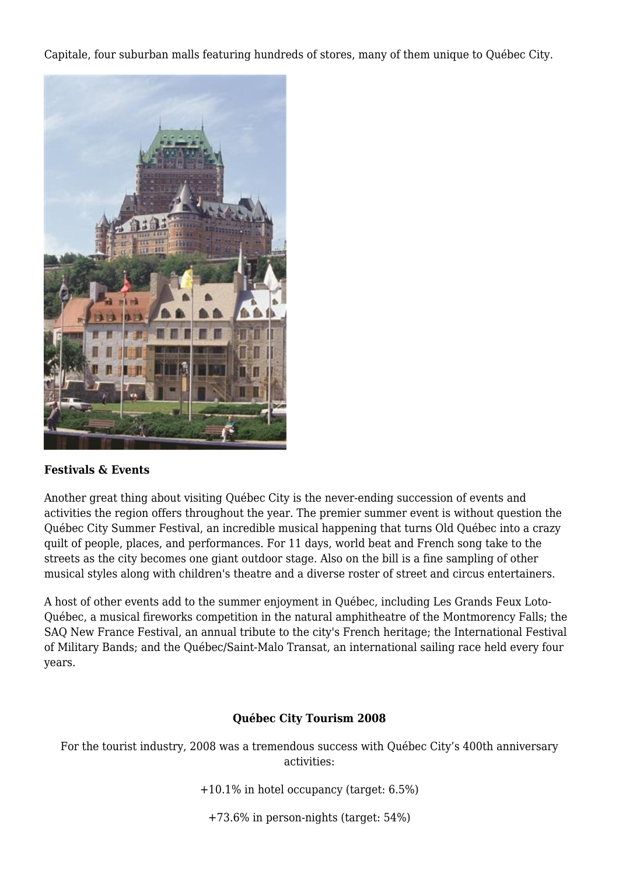Capitale, four suburban malls featuring hundreds of stores, many of them unique to Québec City.



#### **Festivals & Events**

Another great thing about visiting Québec City is the never-ending succession of events and activities the region offers throughout the year. The premier summer event is without question the Québec City Summer Festival, an incredible musical happening that turns Old Québec into a crazy quilt of people, places, and performances. For 11 days, world beat and French song take to the streets as the city becomes one giant outdoor stage. Also on the bill is a fine sampling of other musical styles along with children's theatre and a diverse roster of street and circus entertainers.

A host of other events add to the summer enjoyment in Québec, including Les Grands Feux Loto-Québec, a musical fireworks competition in the natural amphitheatre of the Montmorency Falls; the SAQ New France Festival, an annual tribute to the city's French heritage; the International Festival of Military Bands; and the Québec/Saint-Malo Transat, an international sailing race held every four years.

#### **Québec City Tourism 2008**

For the tourist industry, 2008 was a tremendous success with Québec City's 400th anniversary activities:

+10.1% in hotel occupancy (target: 6.5%)

+73.6% in person-nights (target: 54%)